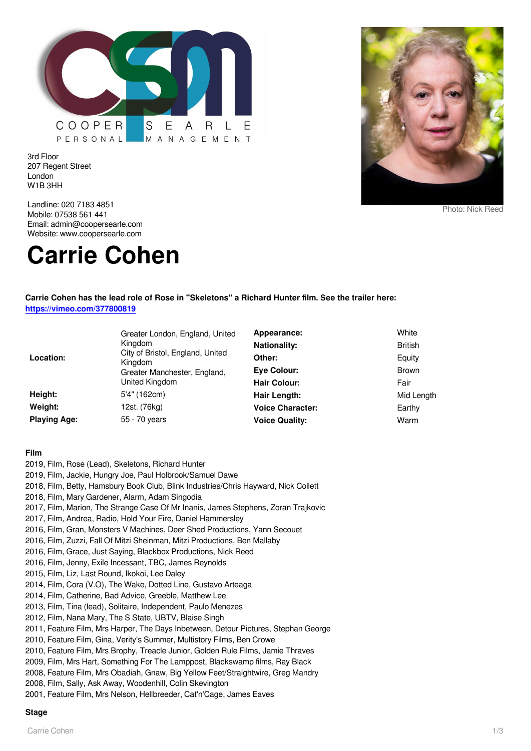

3rd Floor 207 Regent Street London W1B 3HH

Landline: 020 7183 4851 Mobile: 07538 561 441 Email: admin@coopersearle.com Website: www.coopersearle.com

# **Carrie Cohen**



Photo: Nick Reed

## **Carrie Cohen has the lead role of Rose in "Skeletons" a Richard Hunter film. See the trailer here: <https://vimeo.com/377800819>**

| Location:           | Greater London, England, United<br>Kingdom<br>City of Bristol, England, United<br>Kingdom<br>Greater Manchester, England,<br>United Kingdom | Appearance:<br><b>Nationality:</b><br>Other:<br>Eye Colour:<br>Hair Colour: | White<br><b>British</b><br>Equity<br><b>Brown</b><br>Fair |
|---------------------|---------------------------------------------------------------------------------------------------------------------------------------------|-----------------------------------------------------------------------------|-----------------------------------------------------------|
| Height:             | 5'4" (162cm)                                                                                                                                | Hair Length:                                                                | Mid Length                                                |
| Weight:             | 12st. (76kg)                                                                                                                                | <b>Voice Character:</b>                                                     | Earthy                                                    |
| <b>Playing Age:</b> | 55 - 70 years                                                                                                                               | <b>Voice Quality:</b>                                                       | Warm                                                      |

### **Film**

2019, Film, Rose (Lead), Skeletons, Richard Hunter 2019, Film, Jackie, Hungry Joe, Paul Holbrook/Samuel Dawe 2018, Film, Betty, Hamsbury Book Club, Blink Industries/Chris Hayward, Nick Collett 2018, Film, Mary Gardener, Alarm, Adam Singodia 2017, Film, Marion, The Strange Case Of Mr Inanis, James Stephens, Zoran Trajkovic 2017, Film, Andrea, Radio, Hold Your Fire, Daniel Hammersley 2016, Film, Gran, Monsters V Machines, Deer Shed Productions, Yann Secouet 2016, Film, Zuzzi, Fall Of Mitzi Sheinman, Mitzi Productions, Ben Mallaby 2016, Film, Grace, Just Saying, Blackbox Productions, Nick Reed 2016, Film, Jenny, Exile Incessant, TBC, James Reynolds 2015, Film, Liz, Last Round, Ikokoi, Lee Daley 2014, Film, Cora (V.O), The Wake, Dotted Line, Gustavo Arteaga 2014, Film, Catherine, Bad Advice, Greeble, Matthew Lee 2013, Film, Tina (lead), Solitaire, Independent, Paulo Menezes 2012, Film, Nana Mary, The S State, UBTV, Blaise Singh 2011, Feature Film, Mrs Harper, The Days Inbetween, Detour Pictures, Stephan George 2010, Feature Film, Gina, Verity's Summer, Multistory Films, Ben Crowe 2010, Feature Film, Mrs Brophy, Treacle Junior, Golden Rule Films, Jamie Thraves 2009, Film, Mrs Hart, Something For The Lamppost, Blackswamp films, Ray Black 2008, Feature Film, Mrs Obadiah, Gnaw, Big Yellow Feet/Straightwire, Greg Mandry 2008, Film, Sally, Ask Away, Woodenhill, Colin Skevington 2001, Feature Film, Mrs Nelson, Hellbreeder, Cat'n'Cage, James Eaves

#### **Stage**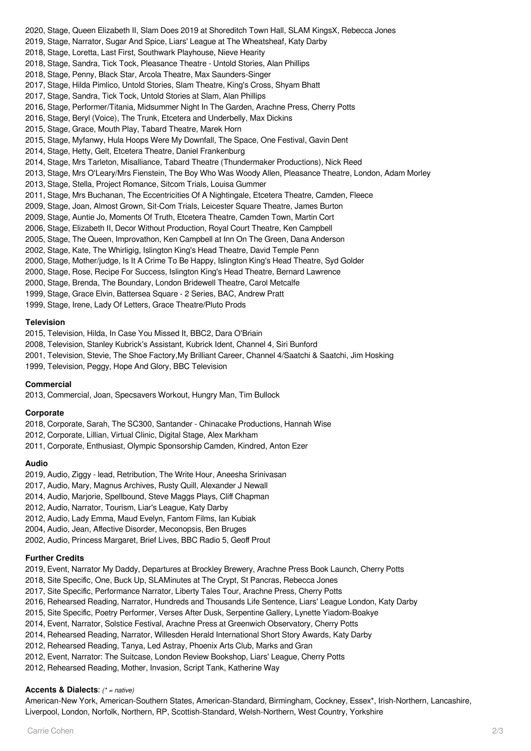2020, Stage, Queen Elizabeth II, Slam Does 2019 at Shoreditch Town Hall, SLAM KingsX, Rebecca Jones 2019, Stage, Narrator, Sugar And Spice, Liars' League at The Wheatsheaf, Katy Darby 2018, Stage, Loretta, Last First, Southwark Playhouse, Nieve Hearity 2018, Stage, Sandra, Tick Tock, Pleasance Theatre - Untold Stories, Alan Phillips 2018, Stage, Penny, Black Star, Arcola Theatre, Max Saunders-Singer 2017, Stage, Hilda Pimlico, Untold Stories, Slam Theatre, King's Cross, Shyam Bhatt 2017, Stage, Sandra, Tick Tock, Untold Stories at Slam, Alan Phillips 2016, Stage, Performer/Titania, Midsummer Night In The Garden, Arachne Press, Cherry Potts 2016, Stage, Beryl (Voice), The Trunk, Etcetera and Underbelly, Max Dickins 2015, Stage, Grace, Mouth Play, Tabard Theatre, Marek Horn 2015, Stage, Myfanwy, Hula Hoops Were My Downfall, The Space, One Festival, Gavin Dent 2014, Stage, Hetty, Gelt, Etcetera Theatre, Daniel Frankenburg 2014, Stage, Mrs Tarleton, Misalliance, Tabard Theatre (Thundermaker Productions), Nick Reed 2013, Stage, Mrs O'Leary/Mrs Fienstein, The Boy Who Was Woody Allen, Pleasance Theatre, London, Adam Morley 2013, Stage, Stella, Project Romance, Sitcom Trials, Louisa Gummer 2011, Stage, Mrs Buchanan, The Eccentricities Of A Nightingale, Etcetera Theatre, Camden, Fleece 2009, Stage, Joan, Almost Grown, Sit-Com Trials, Leicester Square Theatre, James Burton 2009, Stage, Auntie Jo, Moments Of Truth, Etcetera Theatre, Camden Town, Martin Cort 2006, Stage, Elizabeth II, Decor Without Production, Royal Court Theatre, Ken Campbell 2005, Stage, The Queen, Improvathon, Ken Campbell at Inn On The Green, Dana Anderson 2002, Stage, Kate, The Whirligig, Islington King's Head Theatre, David Temple Penn 2000, Stage, Mother/judge, Is It A Crime To Be Happy, Islington King's Head Theatre, Syd Golder 2000, Stage, Rose, Recipe For Success, Islington King's Head Theatre, Bernard Lawrence 2000, Stage, Brenda, The Boundary, London Bridewell Theatre, Carol Metcalfe 1999, Stage, Grace Elvin, Battersea Square - 2 Series, BAC, Andrew Pratt

1999, Stage, Irene, Lady Of Letters, Grace Theatre/Pluto Prods

### **Television**

2015, Television, Hilda, In Case You Missed It, BBC2, Dara O'Briain

- 2008, Television, Stanley Kubrick's Assistant, Kubrick Ident, Channel 4, Siri Bunford
- 2001, Television, Stevie, The Shoe Factory,My Brilliant Career, Channel 4/Saatchi & Saatchi, Jim Hosking
- 1999, Television, Peggy, Hope And Glory, BBC Television

#### **Commercial**

2013, Commercial, Joan, Specsavers Workout, Hungry Man, Tim Bullock

#### **Corporate**

2018, Corporate, Sarah, The SC300, Santander - Chinacake Productions, Hannah Wise 2012, Corporate, Lillian, Virtual Clinic, Digital Stage, Alex Markham

2011, Corporate, Enthusiast, Olympic Sponsorship Camden, Kindred, Anton Ezer

## **Audio**

2019, Audio, Ziggy - lead, Retribution, The Write Hour, Aneesha Srinivasan

2017, Audio, Mary, Magnus Archives, Rusty Quill, Alexander J Newall

2014, Audio, Marjorie, Spellbound, Steve Maggs Plays, Cliff Chapman

2012, Audio, Narrator, Tourism, Liar's League, Katy Darby

2012, Audio, Lady Emma, Maud Evelyn, Fantom Films, Ian Kubiak

2004, Audio, Jean, Affective Disorder, Meconopsis, Ben Bruges

2002, Audio, Princess Margaret, Brief Lives, BBC Radio 5, Geoff Prout

# **Further Credits**

2019, Event, Narrator My Daddy, Departures at Brockley Brewery, Arachne Press Book Launch, Cherry Potts

- 2018, Site Specific, One, Buck Up, SLAMinutes at The Crypt, St Pancras, Rebecca Jones
- 2017, Site Specific, Performance Narrator, Liberty Tales Tour, Arachne Press, Cherry Potts
- 2016, Rehearsed Reading, Narrator, Hundreds and Thousands Life Sentence, Liars' League London, Katy Darby

2015, Site Specific, Poetry Performer, Verses After Dusk, Serpentine Gallery, Lynette Yiadom-Boakye

- 2014, Event, Narrator, Solstice Festival, Arachne Press at Greenwich Observatory, Cherry Potts
- 2014, Rehearsed Reading, Narrator, Willesden Herald International Short Story Awards, Katy Darby

2012, Rehearsed Reading, Tanya, Led Astray, Phoenix Arts Club, Marks and Gran

- 2012, Event, Narrator: The Suitcase, London Review Bookshop, Liars' League, Cherry Potts
- 2012, Rehearsed Reading, Mother, Invasion, Script Tank, Katherine Way

# **Accents & Dialects**: (\* = native)

American-New York, American-Southern States, American-Standard, Birmingham, Cockney, Essex\*, Irish-Northern, Lancashire, Liverpool, London, Norfolk, Northern, RP, Scottish-Standard, Welsh-Northern, West Country, Yorkshire